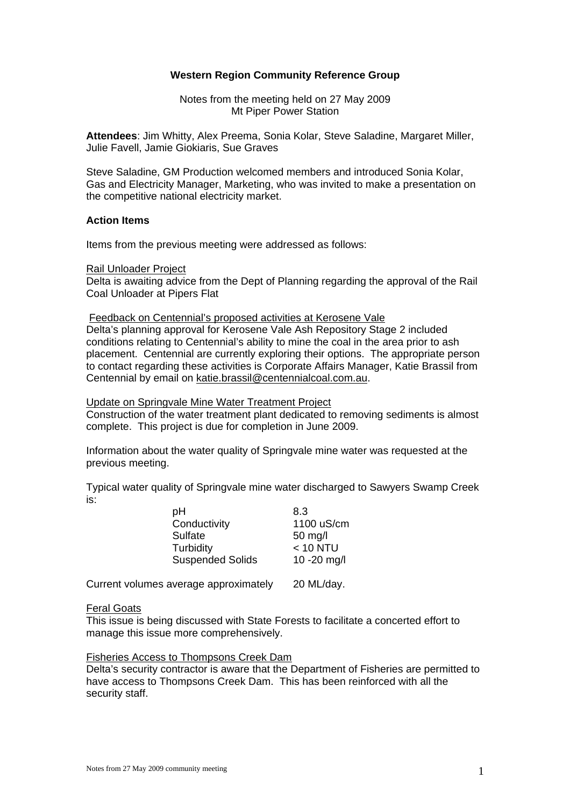# **Western Region Community Reference Group**

Notes from the meeting held on 27 May 2009 Mt Piper Power Station

**Attendees**: Jim Whitty, Alex Preema, Sonia Kolar, Steve Saladine, Margaret Miller, Julie Favell, Jamie Giokiaris, Sue Graves

Steve Saladine, GM Production welcomed members and introduced Sonia Kolar, Gas and Electricity Manager, Marketing, who was invited to make a presentation on the competitive national electricity market.

# **Action Items**

Items from the previous meeting were addressed as follows:

### Rail Unloader Project

Delta is awaiting advice from the Dept of Planning regarding the approval of the Rail Coal Unloader at Pipers Flat

#### Feedback on Centennial's proposed activities at Kerosene Vale

Delta's planning approval for Kerosene Vale Ash Repository Stage 2 included conditions relating to Centennial's ability to mine the coal in the area prior to ash placement. Centennial are currently exploring their options. The appropriate person to contact regarding these activities is Corporate Affairs Manager, Katie Brassil from Centennial by email on katie.brassil@centennialcoal.com.au.

Update on Springvale Mine Water Treatment Project

Construction of the water treatment plant dedicated to removing sediments is almost complete. This project is due for completion in June 2009.

Information about the water quality of Springvale mine water was requested at the previous meeting.

Typical water quality of Springvale mine water discharged to Sawyers Swamp Creek is:

| рH                      | 8.3          |
|-------------------------|--------------|
| Conductivity            | 1100 uS/cm   |
| Sulfate                 | 50 mg/l      |
| Turbidity               | < 10 NTU     |
| <b>Suspended Solids</b> | 10 - 20 mg/l |
|                         |              |

Current volumes average approximately 20 ML/day.

#### Feral Goats

This issue is being discussed with State Forests to facilitate a concerted effort to manage this issue more comprehensively.

### Fisheries Access to Thompsons Creek Dam

Delta's security contractor is aware that the Department of Fisheries are permitted to have access to Thompsons Creek Dam. This has been reinforced with all the security staff.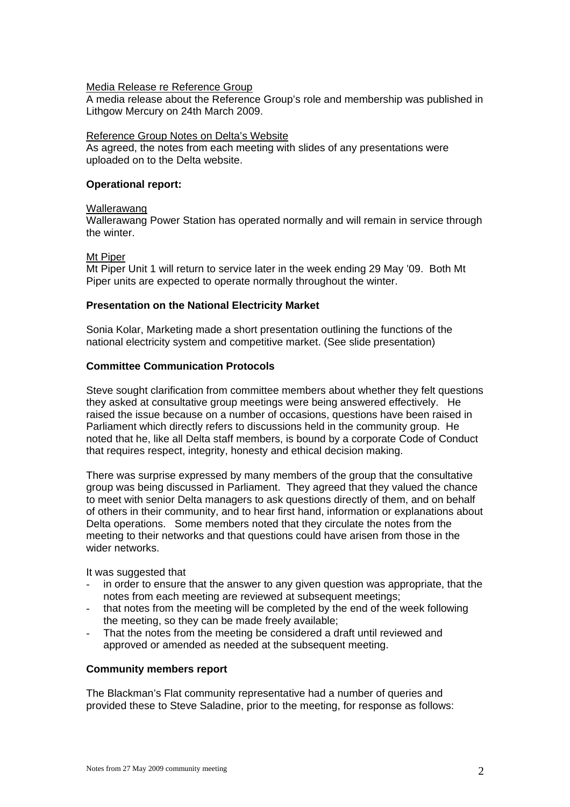# Media Release re Reference Group

A media release about the Reference Group's role and membership was published in Lithgow Mercury on 24th March 2009.

# Reference Group Notes on Delta's Website

As agreed, the notes from each meeting with slides of any presentations were uploaded on to the Delta website.

# **Operational report:**

### Wallerawang

Wallerawang Power Station has operated normally and will remain in service through the winter.

### Mt Piper

Mt Piper Unit 1 will return to service later in the week ending 29 May '09. Both Mt Piper units are expected to operate normally throughout the winter.

# **Presentation on the National Electricity Market**

Sonia Kolar, Marketing made a short presentation outlining the functions of the national electricity system and competitive market. (See slide presentation)

# **Committee Communication Protocols**

Steve sought clarification from committee members about whether they felt questions they asked at consultative group meetings were being answered effectively. He raised the issue because on a number of occasions, questions have been raised in Parliament which directly refers to discussions held in the community group. He noted that he, like all Delta staff members, is bound by a corporate Code of Conduct that requires respect, integrity, honesty and ethical decision making.

There was surprise expressed by many members of the group that the consultative group was being discussed in Parliament. They agreed that they valued the chance to meet with senior Delta managers to ask questions directly of them, and on behalf of others in their community, and to hear first hand, information or explanations about Delta operations. Some members noted that they circulate the notes from the meeting to their networks and that questions could have arisen from those in the wider networks.

It was suggested that

- in order to ensure that the answer to any given question was appropriate, that the notes from each meeting are reviewed at subsequent meetings;
- that notes from the meeting will be completed by the end of the week following the meeting, so they can be made freely available;
- That the notes from the meeting be considered a draft until reviewed and approved or amended as needed at the subsequent meeting.

# **Community members report**

The Blackman's Flat community representative had a number of queries and provided these to Steve Saladine, prior to the meeting, for response as follows: